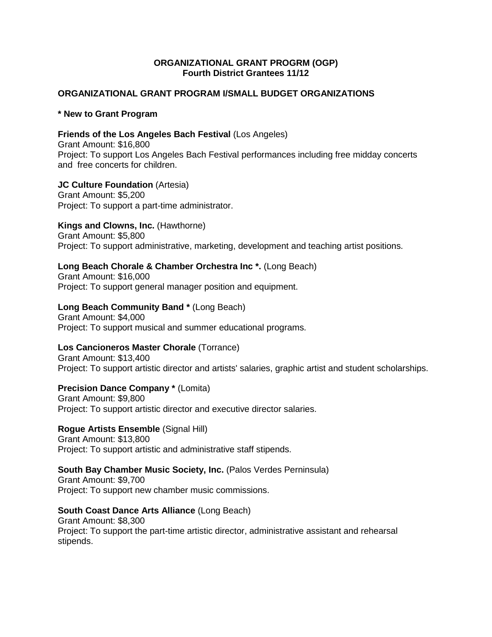## **ORGANIZATIONAL GRANT PROGRM (OGP) Fourth District Grantees 11/12**

### **ORGANIZATIONAL GRANT PROGRAM I/SMALL BUDGET ORGANIZATIONS**

#### **\* New to Grant Program**

# **Friends of the Los Angeles Bach Festival** (Los Angeles)

Grant Amount: \$16,800 Project: To support Los Angeles Bach Festival performances including free midday concerts and free concerts for children.

#### **JC Culture Foundation** (Artesia)

Grant Amount: \$5,200 Project: To support a part-time administrator.

### **Kings and Clowns, Inc.** (Hawthorne)

Grant Amount: \$5,800 Project: To support administrative, marketing, development and teaching artist positions.

## **Long Beach Chorale & Chamber Orchestra Inc \*.** (Long Beach)

Grant Amount: \$16,000 Project: To support general manager position and equipment.

## **Long Beach Community Band \*** (Long Beach)

Grant Amount: \$4,000 Project: To support musical and summer educational programs.

#### **Los Cancioneros Master Chorale** (Torrance)

Grant Amount: \$13,400 Project: To support artistic director and artists' salaries, graphic artist and student scholarships.

## **Precision Dance Company \*** (Lomita)

Grant Amount: \$9,800 Project: To support artistic director and executive director salaries.

# **Rogue Artists Ensemble** (Signal Hill)

Grant Amount: \$13,800 Project: To support artistic and administrative staff stipends.

## **South Bay Chamber Music Society, Inc.** (Palos Verdes Perninsula)

Grant Amount: \$9,700 Project: To support new chamber music commissions.

### **South Coast Dance Arts Alliance** (Long Beach)

Grant Amount: \$8,300 Project: To support the part-time artistic director, administrative assistant and rehearsal stipends.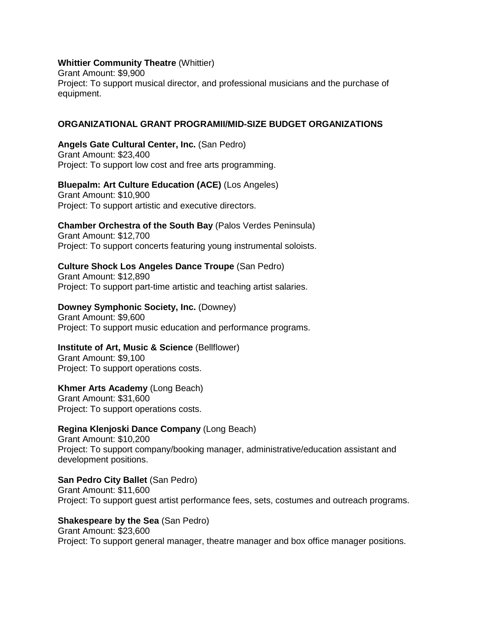## **Whittier Community Theatre** (Whittier)

Grant Amount: \$9,900 Project: To support musical director, and professional musicians and the purchase of equipment.

## **ORGANIZATIONAL GRANT PROGRAMII/MID-SIZE BUDGET ORGANIZATIONS**

**Angels Gate Cultural Center, Inc.** (San Pedro) Grant Amount: \$23,400 Project: To support low cost and free arts programming.

### **Bluepalm: Art Culture Education (ACE)** (Los Angeles)

Grant Amount: \$10,900 Project: To support artistic and executive directors.

**Chamber Orchestra of the South Bay** (Palos Verdes Peninsula) Grant Amount: \$12,700

Project: To support concerts featuring young instrumental soloists.

### **Culture Shock Los Angeles Dance Troupe** (San Pedro)

Grant Amount: \$12,890 Project: To support part-time artistic and teaching artist salaries.

## **Downey Symphonic Society, Inc.** (Downey)

Grant Amount: \$9,600 Project: To support music education and performance programs.

#### **Institute of Art, Music & Science** (Bellflower)

Grant Amount: \$9,100 Project: To support operations costs.

## **Khmer Arts Academy** (Long Beach)

Grant Amount: \$31,600 Project: To support operations costs.

## **Regina Klenjoski Dance Company** (Long Beach)

Grant Amount: \$10,200 Project: To support company/booking manager, administrative/education assistant and development positions.

**San Pedro City Ballet** (San Pedro) Grant Amount: \$11,600 Project: To support guest artist performance fees, sets, costumes and outreach programs.

#### **Shakespeare by the Sea** (San Pedro)

# Grant Amount: \$23,600

Project: To support general manager, theatre manager and box office manager positions.